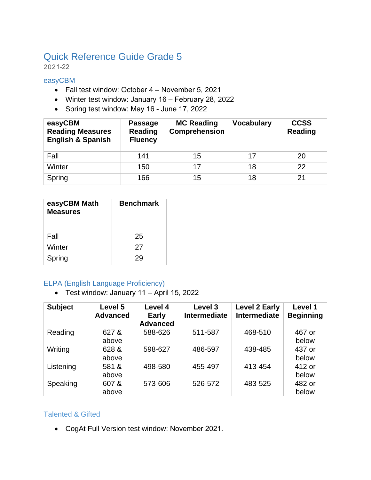# Quick Reference Guide Grade 5

2021-22

#### easyCBM

- Fall test window: October 4 November 5, 2021
- Winter test window: January 16 February 28, 2022
- Spring test window: May 16 June 17, 2022

| easyCBM<br><b>Reading Measures</b><br><b>English &amp; Spanish</b> | <b>Passage</b><br>Reading<br><b>Fluency</b> | <b>MC Reading</b><br><b>Comprehension</b> | <b>Vocabulary</b> | <b>CCSS</b><br><b>Reading</b> |
|--------------------------------------------------------------------|---------------------------------------------|-------------------------------------------|-------------------|-------------------------------|
| Fall                                                               | 141                                         | 15                                        | 17                | 20                            |
| Winter                                                             | 150                                         | 17                                        | 18                | 22                            |
| Spring                                                             | 166                                         | 15                                        | 18                | 21                            |

| easyCBM Math<br><b>Measures</b> | <b>Benchmark</b> |
|---------------------------------|------------------|
| Fall                            | 25               |
| Winter                          | 27               |
| Spring                          | 29               |

### ELPA (English Language Proficiency)

• Test window: January 11 – April 15, 2022

| <b>Subject</b> | Level 5<br><b>Advanced</b> | Level 4<br><b>Early</b><br><b>Advanced</b> | Level 3<br>Intermediate | <b>Level 2 Early</b><br><b>Intermediate</b> | Level 1<br><b>Beginning</b> |
|----------------|----------------------------|--------------------------------------------|-------------------------|---------------------------------------------|-----------------------------|
| Reading        | 627 &<br>above             | 588-626                                    | 511-587                 | 468-510                                     | 467 or<br>below             |
| Writing        | 628 &<br>above             | 598-627                                    | 486-597                 | 438-485                                     | 437 or<br>below             |
| Listening      | 581 &<br>above             | 498-580                                    | 455-497                 | 413-454                                     | 412 or<br>below             |
| Speaking       | 607 &<br>above             | 573-606                                    | 526-572                 | 483-525                                     | 482 or<br>below             |

## Talented & Gifted

• CogAt Full Version test window: November 2021.